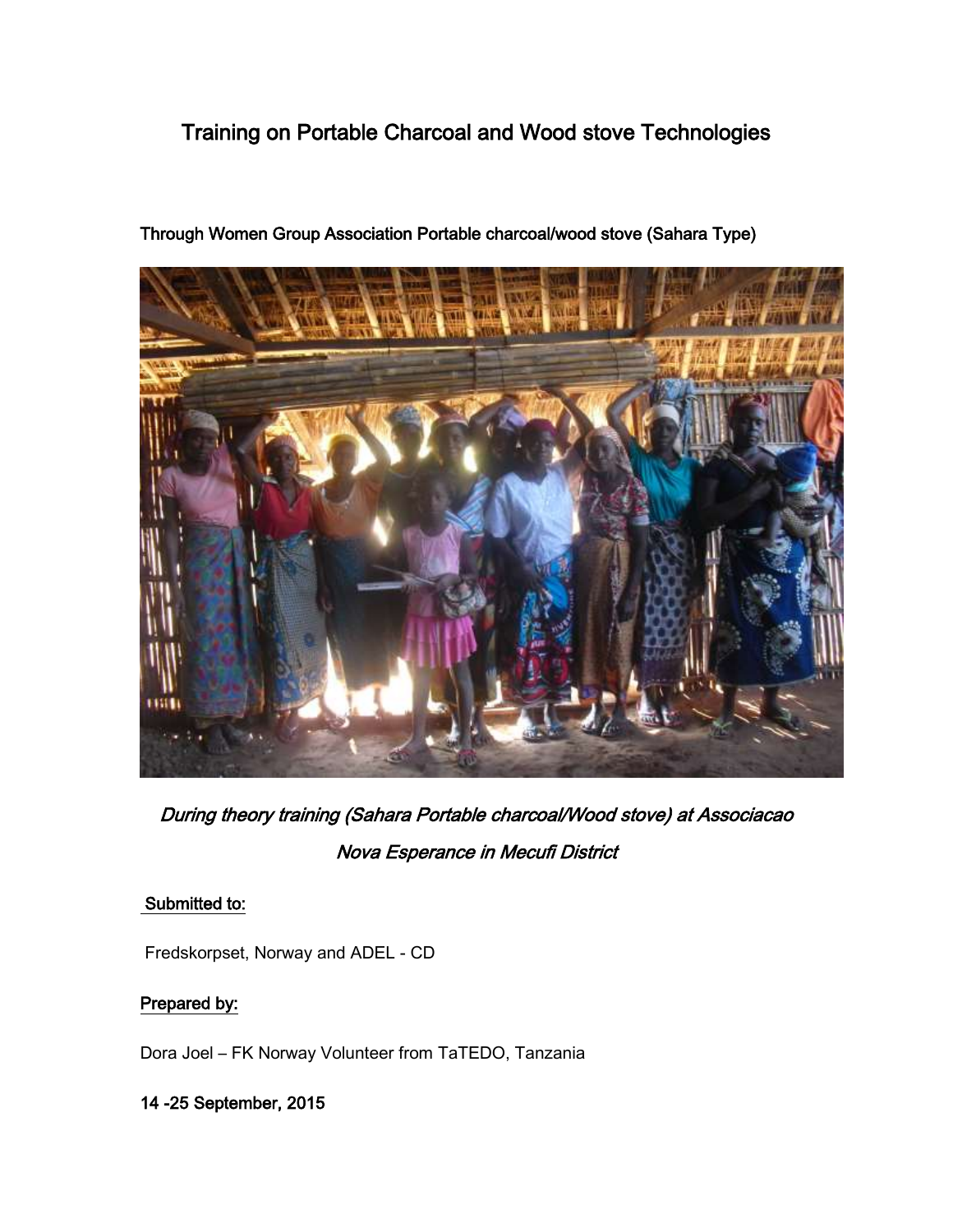# Training on Portable Charcoal and Wood stove Technologies



Through Women Group Association Portable charcoal/wood stove (Sahara Type)

During theory training (Sahara Portable charcoal/Wood stove) at Associacao Nova Esperance in Mecufi District

# Submitted to:

Fredskorpset, Norway and ADEL - CD

# Prepared by:

Dora Joel – FK Norway Volunteer from TaTEDO, Tanzania

14 -25 September, 2015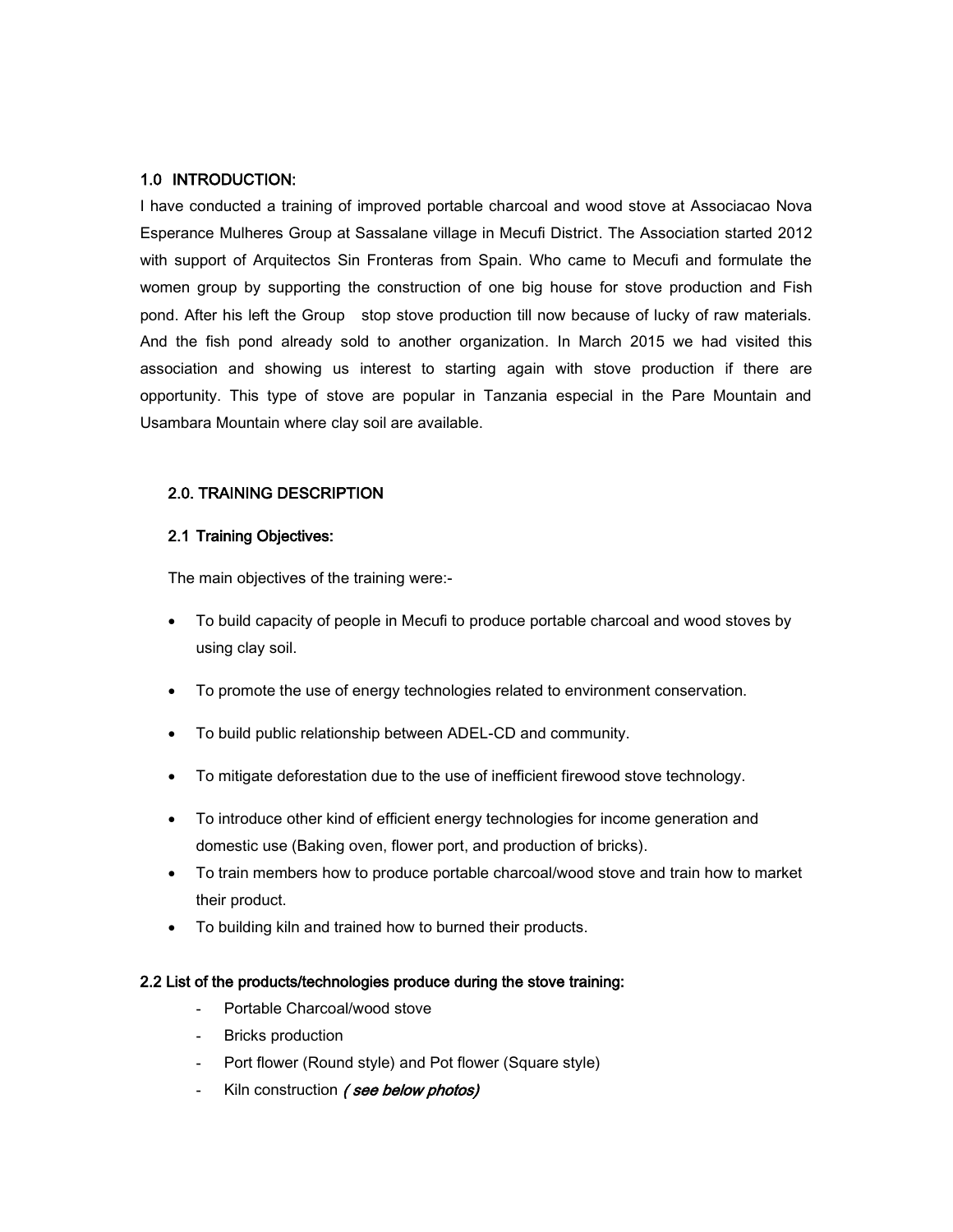### 1.0 INTRODUCTION:

I have conducted a training of improved portable charcoal and wood stove at Associacao Nova Esperance Mulheres Group at Sassalane village in Mecufi District. The Association started 2012 with support of Arquitectos Sin Fronteras from Spain. Who came to Mecufi and formulate the women group by supporting the construction of one big house for stove production and Fish pond. After his left the Group stop stove production till now because of lucky of raw materials. And the fish pond already sold to another organization. In March 2015 we had visited this association and showing us interest to starting again with stove production if there are opportunity. This type of stove are popular in Tanzania especial in the Pare Mountain and Usambara Mountain where clay soil are available.

## 2.0. TRAINING DESCRIPTION

#### 2.1 Training Objectives:

The main objectives of the training were:-

- To build capacity of people in Mecufi to produce portable charcoal and wood stoves by using clay soil.
- To promote the use of energy technologies related to environment conservation.
- To build public relationship between ADEL-CD and community.
- To mitigate deforestation due to the use of inefficient firewood stove technology.
- To introduce other kind of efficient energy technologies for income generation and domestic use (Baking oven, flower port, and production of bricks).
- To train members how to produce portable charcoal/wood stove and train how to market their product.
- To building kiln and trained how to burned their products.

#### 2.2 List of the products/technologies produce during the stove training:

- **-** Portable Charcoal/wood stove
- **-** Bricks production
- **-** Port flower (Round style) and Pot flower (Square style)
- **-** Kiln construction ( see below photos)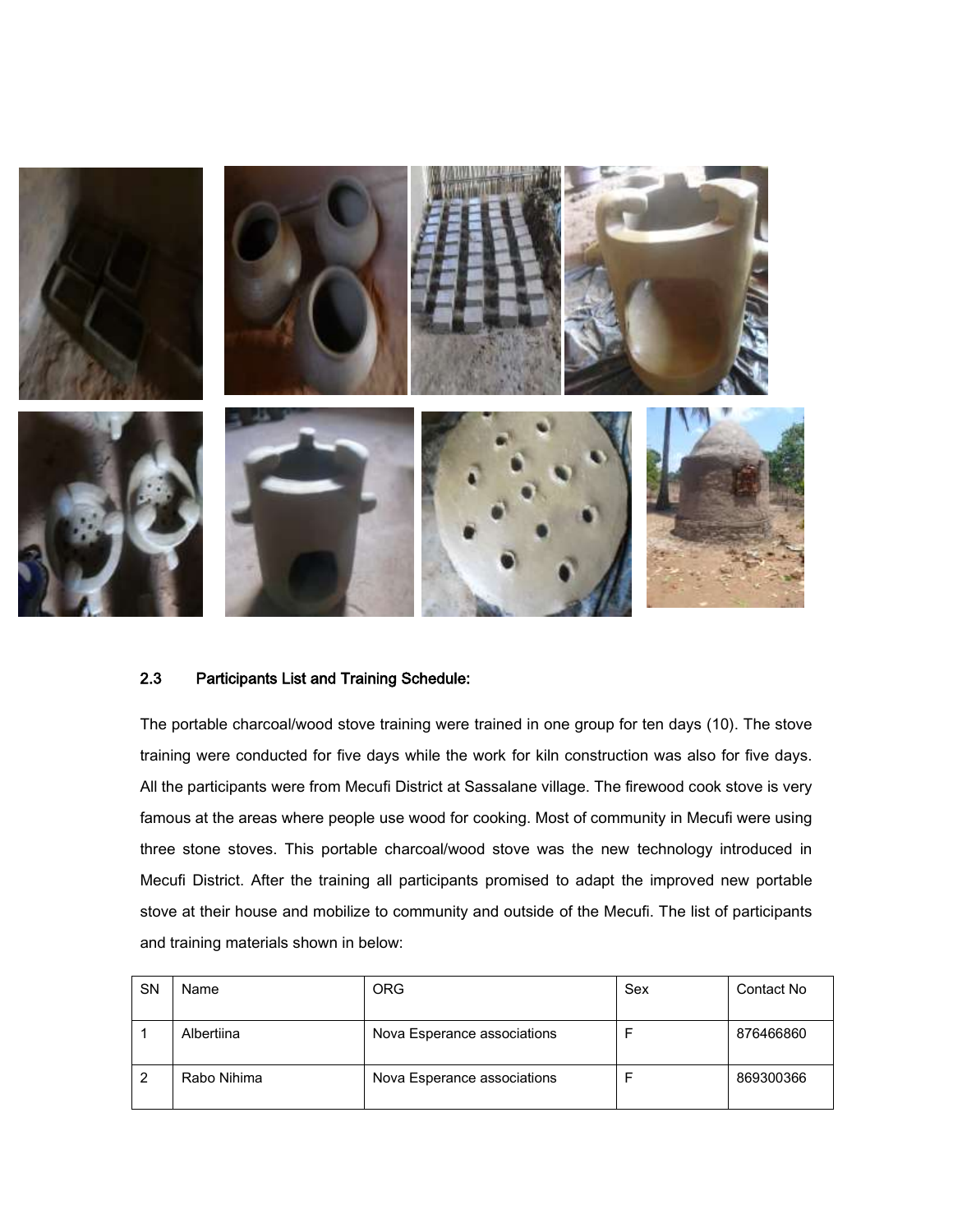

#### 2.3 Participants List and Training Schedule:

The portable charcoal/wood stove training were trained in one group for ten days (10). The stove training were conducted for five days while the work for kiln construction was also for five days. All the participants were from Mecufi District at Sassalane village. The firewood cook stove is very famous at the areas where people use wood for cooking. Most of community in Mecufi were using three stone stoves. This portable charcoal/wood stove was the new technology introduced in Mecufi District. After the training all participants promised to adapt the improved new portable stove at their house and mobilize to community and outside of the Mecufi. The list of participants and training materials shown in below:

| <b>SN</b> | Name        | <b>ORG</b>                  | Sex | Contact No |
|-----------|-------------|-----------------------------|-----|------------|
|           | Albertiina  | Nova Esperance associations |     | 876466860  |
|           | Rabo Nihima | Nova Esperance associations |     | 869300366  |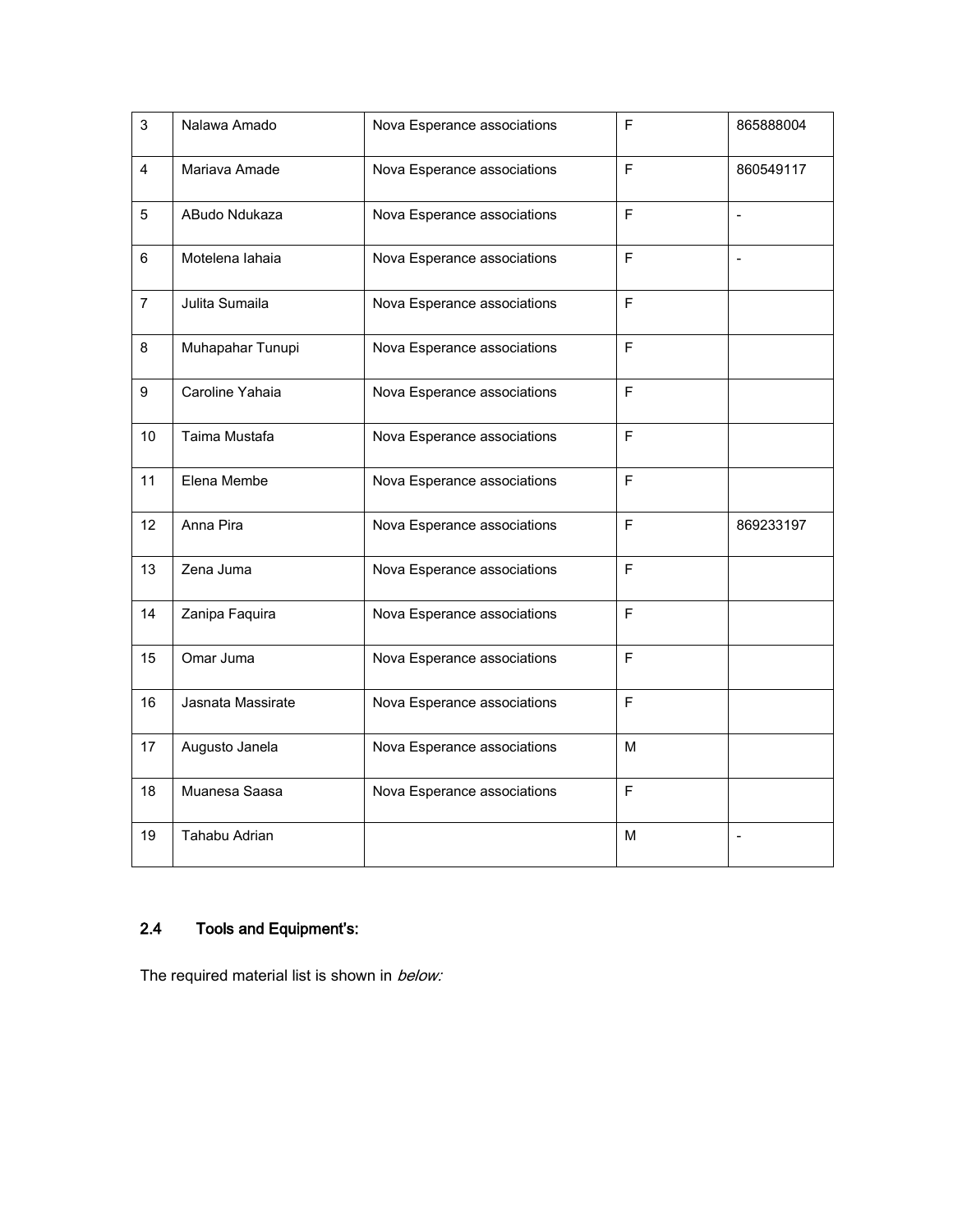| 3              | Nalawa Amado      | Nova Esperance associations | F           | 865888004      |
|----------------|-------------------|-----------------------------|-------------|----------------|
| $\overline{4}$ | Mariava Amade     | Nova Esperance associations | F           | 860549117      |
| 5              | ABudo Ndukaza     | Nova Esperance associations | F           | $\overline{a}$ |
| $6\phantom{a}$ | Motelena lahaia   | Nova Esperance associations | F           |                |
| $\overline{7}$ | Julita Sumaila    | Nova Esperance associations | F           |                |
| 8              | Muhapahar Tunupi  | Nova Esperance associations | F           |                |
| 9              | Caroline Yahaia   | Nova Esperance associations | F           |                |
| 10             | Taima Mustafa     | Nova Esperance associations | F           |                |
| 11             | Elena Membe       | Nova Esperance associations | F           |                |
| 12             | Anna Pira         | Nova Esperance associations | F           | 869233197      |
| 13             | Zena Juma         | Nova Esperance associations | F           |                |
| 14             | Zanipa Faquira    | Nova Esperance associations | F           |                |
| 15             | Omar Juma         | Nova Esperance associations | F           |                |
| 16             | Jasnata Massirate | Nova Esperance associations | F           |                |
| 17             | Augusto Janela    | Nova Esperance associations | M           |                |
| 18             | Muanesa Saasa     | Nova Esperance associations | $\mathsf F$ |                |
| 19             | Tahabu Adrian     |                             | M           |                |

# 2.4 Tools and Equipment's:

The required material list is shown in below: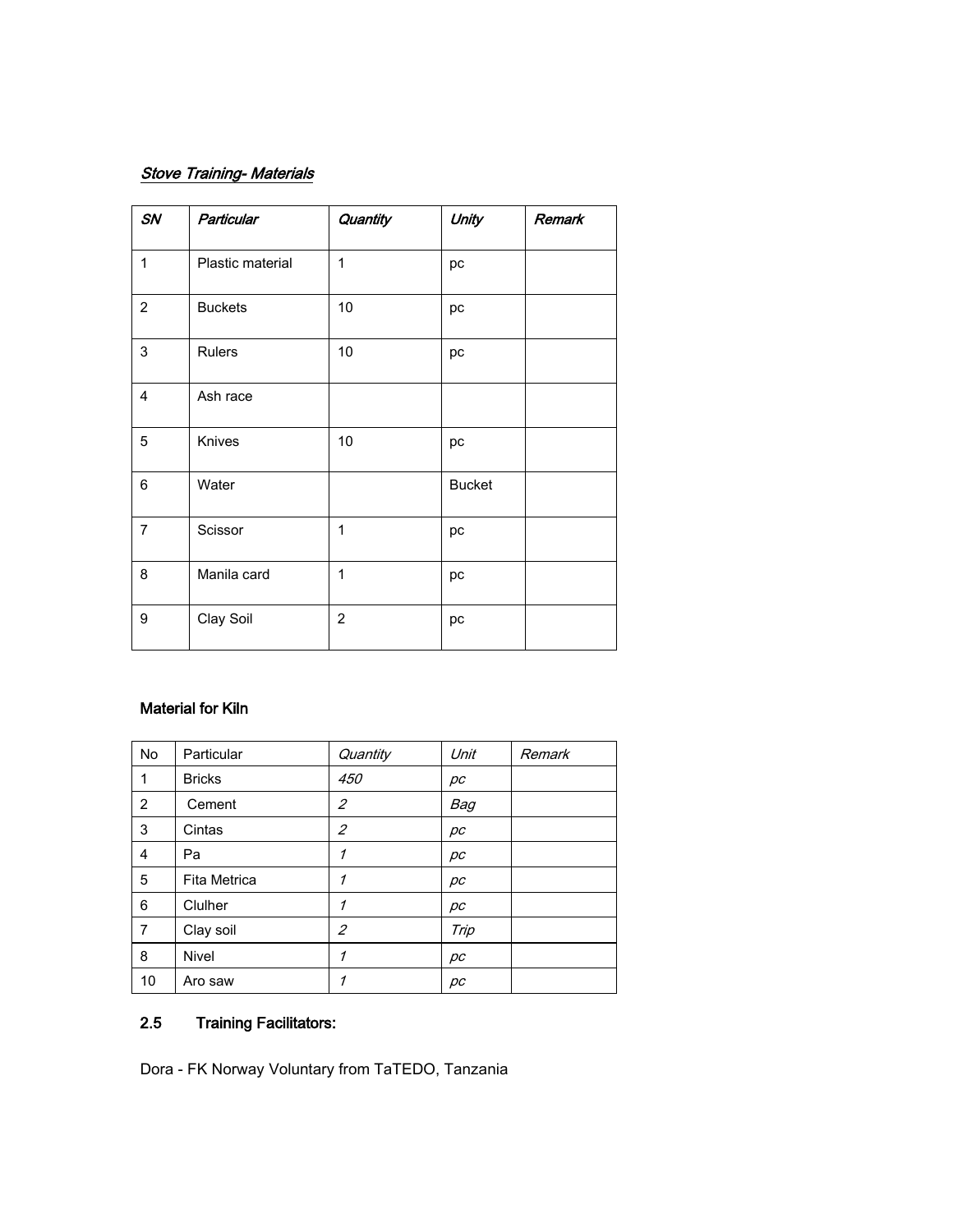# **Stove Training- Materials**

| SN             | Particular       | Quantity       | Unity         | Remark |
|----------------|------------------|----------------|---------------|--------|
| $\mathbf{1}$   | Plastic material | $\mathbf{1}$   | рc            |        |
| $\overline{2}$ | <b>Buckets</b>   | 10             | pc            |        |
| 3              | <b>Rulers</b>    | 10             | рc            |        |
| 4              | Ash race         |                |               |        |
| 5              | Knives           | 10             | pc            |        |
| 6              | Water            |                | <b>Bucket</b> |        |
| $\overline{7}$ | Scissor          | $\mathbf 1$    | рc            |        |
| 8              | Manila card      | $\mathbf 1$    | pc            |        |
| 9              | Clay Soil        | $\overline{c}$ | pc            |        |

## Material for Kiln

| No | Particular    | Quantity       | Unit | Remark |
|----|---------------|----------------|------|--------|
| 1  | <b>Bricks</b> | 450            | рc   |        |
| 2  | Cement        | 2              | Bag  |        |
| 3  | Cintas        | $\overline{c}$ | рc   |        |
| 4  | Pa            | 1              | рc   |        |
| 5  | Fita Metrica  | 1              | рc   |        |
| 6  | Clulher       | 1              | рc   |        |
| 7  | Clay soil     | 2              | Trip |        |
| 8  | Nivel         | 1              | рc   |        |
| 10 | Aro saw       | 1              | рc   |        |

# 2.5 Training Facilitators:

Dora - FK Norway Voluntary from TaTEDO, Tanzania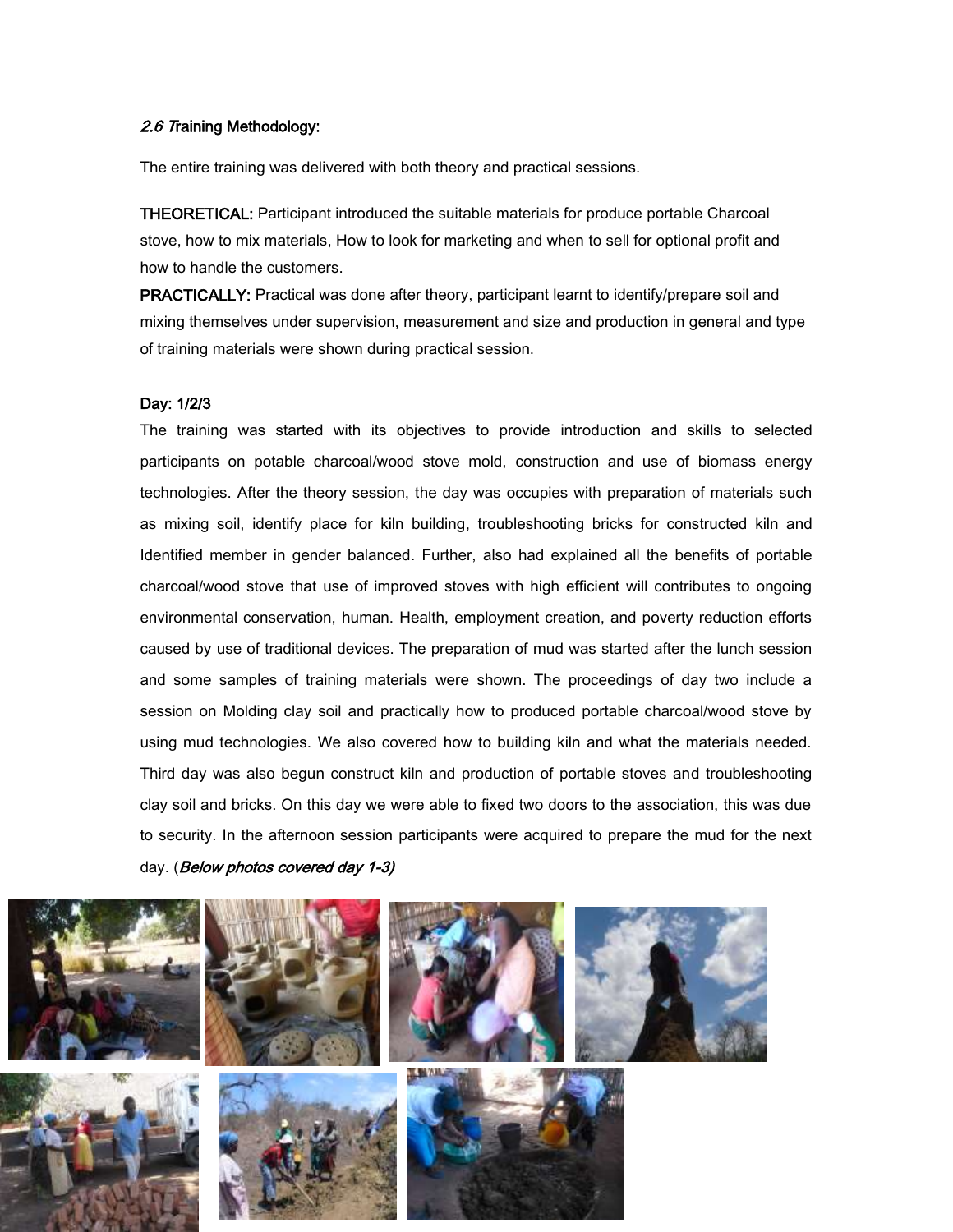#### 2.6 Training Methodology:

The entire training was delivered with both theory and practical sessions.

THEORETICAL: Participant introduced the suitable materials for produce portable Charcoal stove, how to mix materials, How to look for marketing and when to sell for optional profit and how to handle the customers.

PRACTICALLY: Practical was done after theory, participant learnt to identify/prepare soil and mixing themselves under supervision, measurement and size and production in general and type of training materials were shown during practical session.

#### Day: 1/2/3

The training was started with its objectives to provide introduction and skills to selected participants on potable charcoal/wood stove mold, construction and use of biomass energy technologies. After the theory session, the day was occupies with preparation of materials such as mixing soil, identify place for kiln building, troubleshooting bricks for constructed kiln and Identified member in gender balanced. Further, also had explained all the benefits of portable charcoal/wood stove that use of improved stoves with high efficient will contributes to ongoing environmental conservation, human. Health, employment creation, and poverty reduction efforts caused by use of traditional devices. The preparation of mud was started after the lunch session and some samples of training materials were shown. The proceedings of day two include a session on Molding clay soil and practically how to produced portable charcoal/wood stove by using mud technologies. We also covered how to building kiln and what the materials needed. Third day was also begun construct kiln and production of portable stoves and troubleshooting clay soil and bricks. On this day we were able to fixed two doors to the association, this was due to security. In the afternoon session participants were acquired to prepare the mud for the next day. (Below photos covered day 1-3)





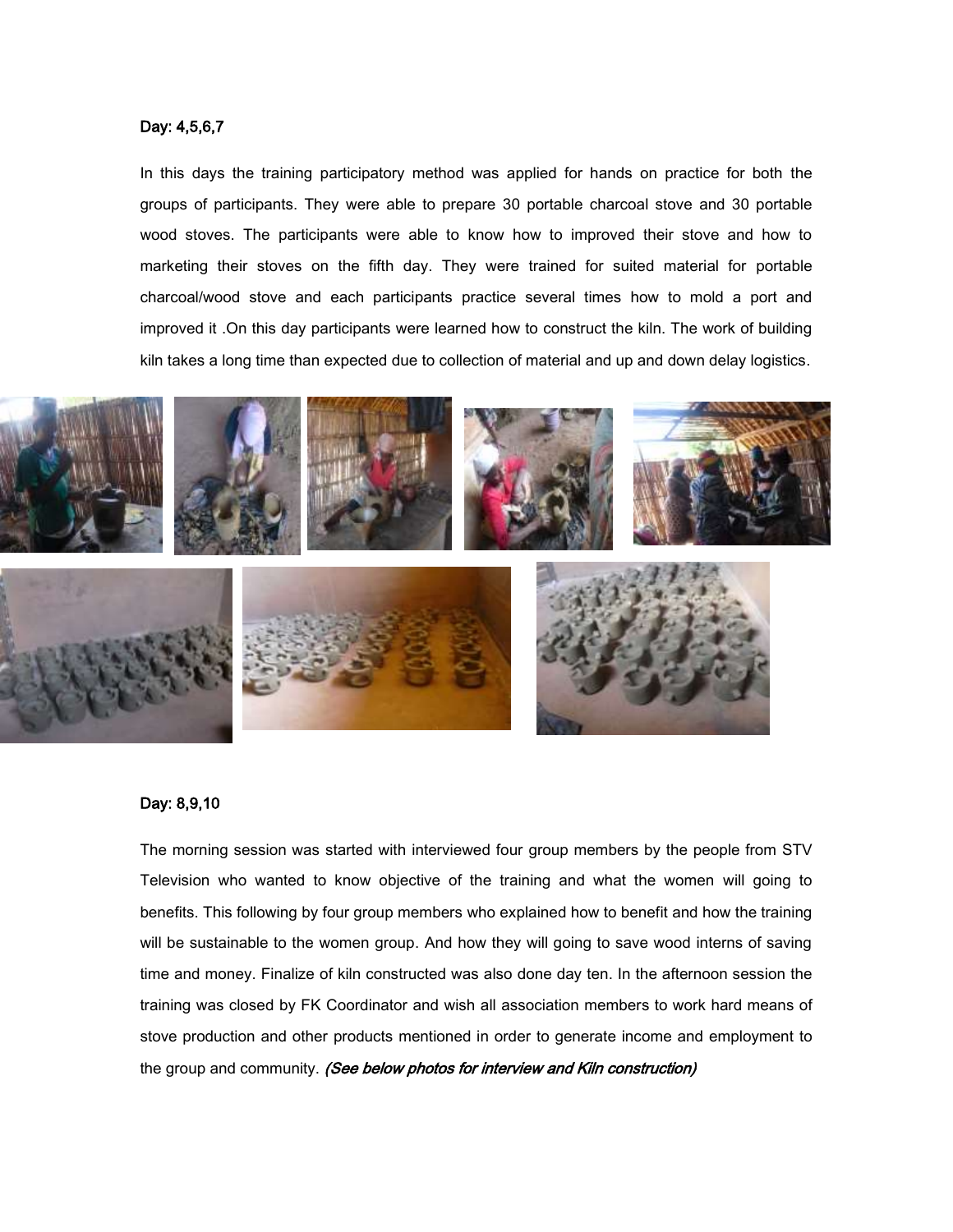#### Day: 4,5,6,7

In this days the training participatory method was applied for hands on practice for both the groups of participants. They were able to prepare 30 portable charcoal stove and 30 portable wood stoves. The participants were able to know how to improved their stove and how to marketing their stoves on the fifth day. They were trained for suited material for portable charcoal/wood stove and each participants practice several times how to mold a port and improved it .On this day participants were learned how to construct the kiln. The work of building kiln takes a long time than expected due to collection of material and up and down delay logistics.



#### Day: 8,9,10

The morning session was started with interviewed four group members by the people from STV Television who wanted to know objective of the training and what the women will going to benefits. This following by four group members who explained how to benefit and how the training will be sustainable to the women group. And how they will going to save wood interns of saving time and money. Finalize of kiln constructed was also done day ten. In the afternoon session the training was closed by FK Coordinator and wish all association members to work hard means of stove production and other products mentioned in order to generate income and employment to the group and community. (See below photos for interview and Kiln construction)